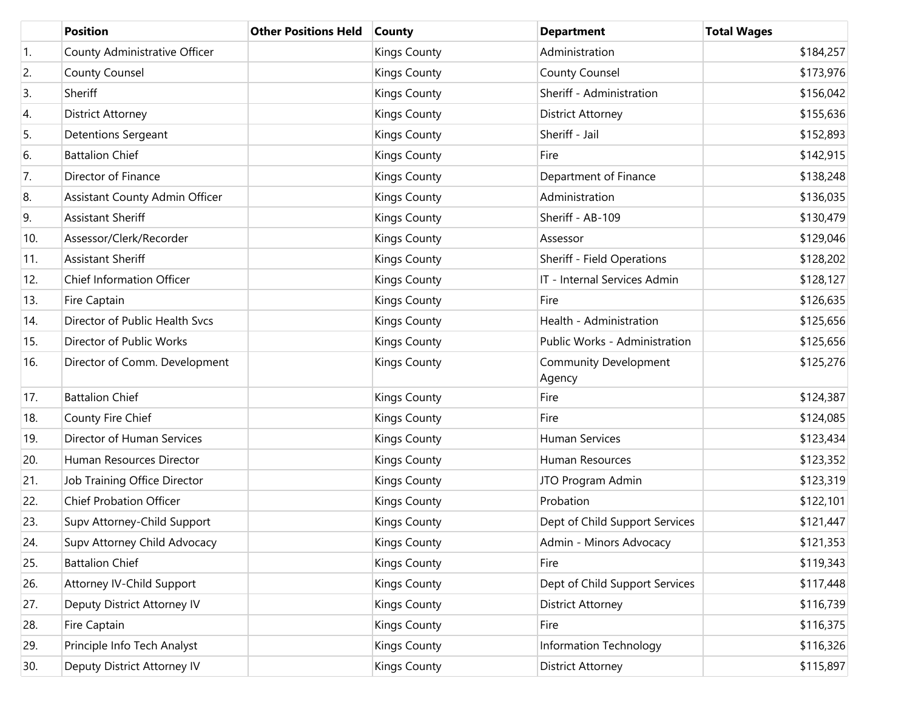|     | <b>Position</b>                | <b>Other Positions Held</b> | <b>County</b>       | <b>Department</b>                      | <b>Total Wages</b> |
|-----|--------------------------------|-----------------------------|---------------------|----------------------------------------|--------------------|
| 1.  | County Administrative Officer  |                             | <b>Kings County</b> | Administration                         | \$184,257          |
| 2.  | County Counsel                 |                             | <b>Kings County</b> | County Counsel                         | \$173,976          |
| 3.  | Sheriff                        |                             | <b>Kings County</b> | Sheriff - Administration               | \$156,042          |
| 4.  | <b>District Attorney</b>       |                             | <b>Kings County</b> | <b>District Attorney</b>               | \$155,636          |
| 5.  | <b>Detentions Sergeant</b>     |                             | <b>Kings County</b> | Sheriff - Jail                         | \$152,893          |
| 6.  | <b>Battalion Chief</b>         |                             | <b>Kings County</b> | Fire                                   | \$142,915          |
| 7.  | Director of Finance            |                             | <b>Kings County</b> | Department of Finance                  | \$138,248          |
| 8.  | Assistant County Admin Officer |                             | <b>Kings County</b> | Administration                         | \$136,035          |
| 9.  | <b>Assistant Sheriff</b>       |                             | <b>Kings County</b> | Sheriff - AB-109                       | \$130,479          |
| 10. | Assessor/Clerk/Recorder        |                             | <b>Kings County</b> | Assessor                               | \$129,046          |
| 11. | <b>Assistant Sheriff</b>       |                             | <b>Kings County</b> | Sheriff - Field Operations             | \$128,202          |
| 12. | Chief Information Officer      |                             | <b>Kings County</b> | IT - Internal Services Admin           | \$128,127          |
| 13. | Fire Captain                   |                             | <b>Kings County</b> | Fire                                   | \$126,635          |
| 14. | Director of Public Health Svcs |                             | <b>Kings County</b> | Health - Administration                | \$125,656          |
| 15. | Director of Public Works       |                             | <b>Kings County</b> | Public Works - Administration          | \$125,656          |
| 16. | Director of Comm. Development  |                             | <b>Kings County</b> | <b>Community Development</b><br>Agency | \$125,276          |
| 17. | <b>Battalion Chief</b>         |                             | <b>Kings County</b> | Fire                                   | \$124,387          |
| 18. | County Fire Chief              |                             | <b>Kings County</b> | Fire                                   | \$124,085          |
| 19. | Director of Human Services     |                             | <b>Kings County</b> | Human Services                         | \$123,434          |
| 20. | Human Resources Director       |                             | <b>Kings County</b> | Human Resources                        | \$123,352          |
| 21. | Job Training Office Director   |                             | <b>Kings County</b> | JTO Program Admin                      | \$123,319          |
| 22. | <b>Chief Probation Officer</b> |                             | <b>Kings County</b> | Probation                              | \$122,101          |
| 23. | Supv Attorney-Child Support    |                             | <b>Kings County</b> | Dept of Child Support Services         | \$121,447          |
| 24. | Supv Attorney Child Advocacy   |                             | <b>Kings County</b> | Admin - Minors Advocacy                | \$121,353          |
| 25. | <b>Battalion Chief</b>         |                             | <b>Kings County</b> | Fire                                   | \$119,343          |
| 26. | Attorney IV-Child Support      |                             | <b>Kings County</b> | Dept of Child Support Services         | \$117,448          |
| 27. | Deputy District Attorney IV    |                             | <b>Kings County</b> | <b>District Attorney</b>               | \$116,739          |
| 28. | Fire Captain                   |                             | <b>Kings County</b> | Fire                                   | \$116,375          |
| 29. | Principle Info Tech Analyst    |                             | <b>Kings County</b> | Information Technology                 | \$116,326          |
| 30. | Deputy District Attorney IV    |                             | <b>Kings County</b> | <b>District Attorney</b>               | \$115,897          |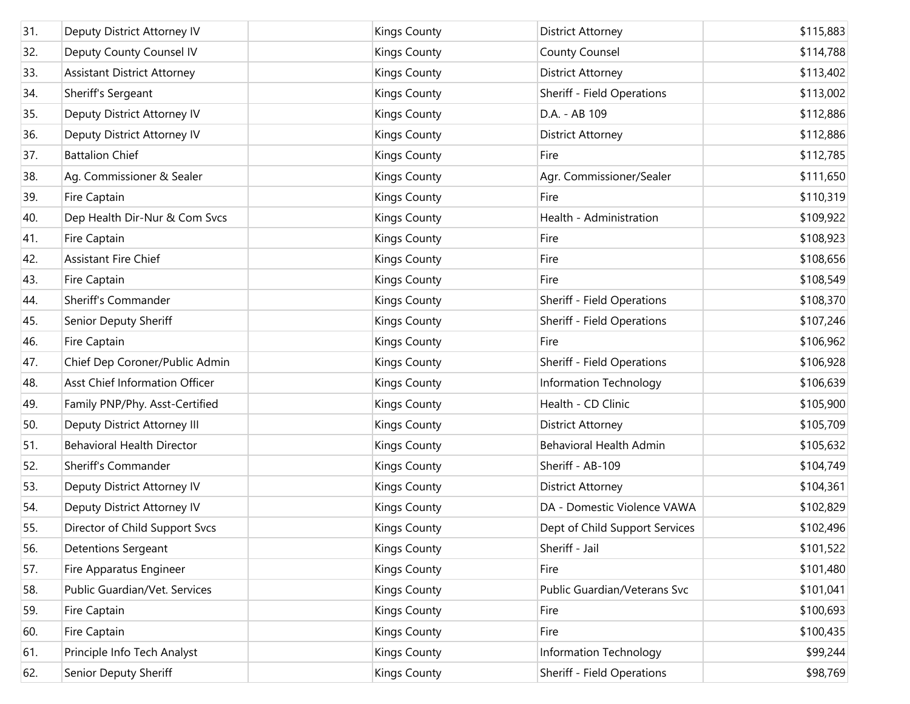| 31. | Deputy District Attorney IV        | <b>Kings County</b> | <b>District Attorney</b>          | \$115,883 |
|-----|------------------------------------|---------------------|-----------------------------------|-----------|
| 32. | Deputy County Counsel IV           | <b>Kings County</b> | <b>County Counsel</b>             | \$114,788 |
| 33. | <b>Assistant District Attorney</b> | <b>Kings County</b> | <b>District Attorney</b>          | \$113,402 |
| 34. | Sheriff's Sergeant                 | <b>Kings County</b> | Sheriff - Field Operations        | \$113,002 |
| 35. | Deputy District Attorney IV        | <b>Kings County</b> | D.A. - AB 109                     | \$112,886 |
| 36. | Deputy District Attorney IV        | <b>Kings County</b> | <b>District Attorney</b>          | \$112,886 |
| 37. | <b>Battalion Chief</b>             | <b>Kings County</b> | Fire                              | \$112,785 |
| 38. | Ag. Commissioner & Sealer          | <b>Kings County</b> | Agr. Commissioner/Sealer          | \$111,650 |
| 39. | Fire Captain                       | <b>Kings County</b> | Fire                              | \$110,319 |
| 40. | Dep Health Dir-Nur & Com Svcs      | <b>Kings County</b> | Health - Administration           | \$109,922 |
| 41. | Fire Captain                       | <b>Kings County</b> | Fire                              | \$108,923 |
| 42. | Assistant Fire Chief               | <b>Kings County</b> | Fire                              | \$108,656 |
| 43. | Fire Captain                       | <b>Kings County</b> | Fire                              | \$108,549 |
| 44. | Sheriff's Commander                | <b>Kings County</b> | <b>Sheriff - Field Operations</b> | \$108,370 |
| 45. | Senior Deputy Sheriff              | <b>Kings County</b> | Sheriff - Field Operations        | \$107,246 |
| 46. | Fire Captain                       | <b>Kings County</b> | Fire                              | \$106,962 |
| 47. | Chief Dep Coroner/Public Admin     | <b>Kings County</b> | <b>Sheriff - Field Operations</b> | \$106,928 |
| 48. | Asst Chief Information Officer     | <b>Kings County</b> | Information Technology            | \$106,639 |
| 49. | Family PNP/Phy. Asst-Certified     | <b>Kings County</b> | Health - CD Clinic                | \$105,900 |
| 50. | Deputy District Attorney III       | <b>Kings County</b> | <b>District Attorney</b>          | \$105,709 |
| 51. | <b>Behavioral Health Director</b>  | <b>Kings County</b> | <b>Behavioral Health Admin</b>    | \$105,632 |
| 52. | Sheriff's Commander                | <b>Kings County</b> | Sheriff - AB-109                  | \$104,749 |
| 53. | Deputy District Attorney IV        | <b>Kings County</b> | <b>District Attorney</b>          | \$104,361 |
| 54. | Deputy District Attorney IV        | <b>Kings County</b> | DA - Domestic Violence VAWA       | \$102,829 |
| 55. | Director of Child Support Svcs     | <b>Kings County</b> | Dept of Child Support Services    | \$102,496 |
| 56. | <b>Detentions Sergeant</b>         | <b>Kings County</b> | Sheriff - Jail                    | \$101,522 |
| 57. | Fire Apparatus Engineer            | <b>Kings County</b> | Fire                              | \$101,480 |
| 58. | Public Guardian/Vet. Services      | <b>Kings County</b> | Public Guardian/Veterans Svc      | \$101,041 |
| 59. | Fire Captain                       | <b>Kings County</b> | Fire                              | \$100,693 |
| 60. | Fire Captain                       | <b>Kings County</b> | Fire                              | \$100,435 |
| 61. | Principle Info Tech Analyst        | <b>Kings County</b> | Information Technology            | \$99,244  |
| 62. | Senior Deputy Sheriff              | <b>Kings County</b> | Sheriff - Field Operations        | \$98,769  |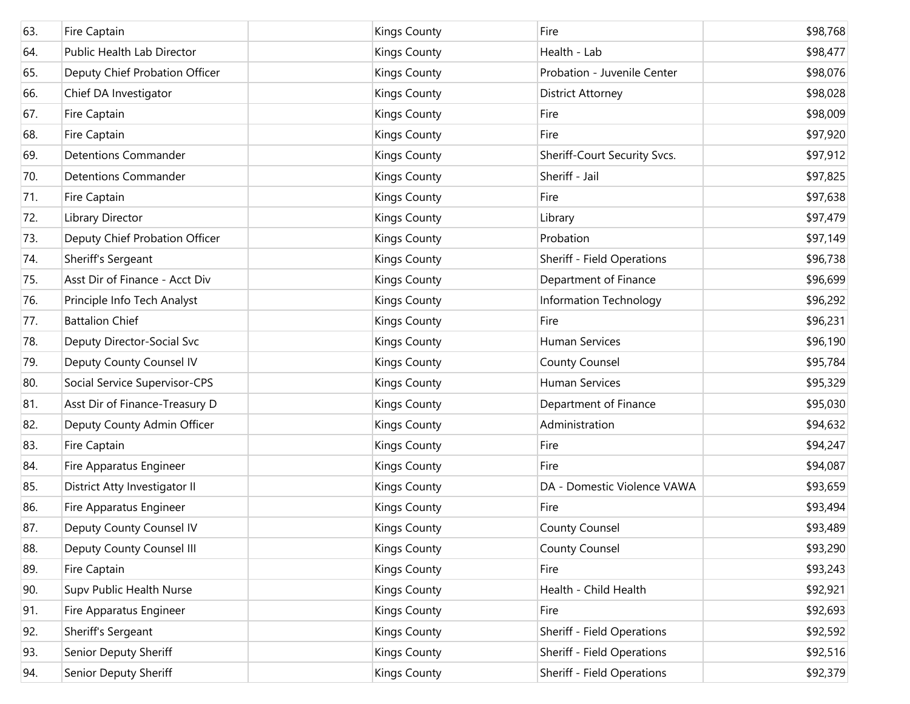| 63. | Fire Captain                   | <b>Kings County</b> | Fire                         | \$98,768 |
|-----|--------------------------------|---------------------|------------------------------|----------|
| 64. | Public Health Lab Director     | <b>Kings County</b> | Health - Lab                 | \$98,477 |
| 65. | Deputy Chief Probation Officer | <b>Kings County</b> | Probation - Juvenile Center  | \$98,076 |
| 66. | Chief DA Investigator          | <b>Kings County</b> | <b>District Attorney</b>     | \$98,028 |
| 67. | Fire Captain                   | <b>Kings County</b> | Fire                         | \$98,009 |
| 68. | Fire Captain                   | <b>Kings County</b> | Fire                         | \$97,920 |
| 69. | <b>Detentions Commander</b>    | <b>Kings County</b> | Sheriff-Court Security Svcs. | \$97,912 |
| 70. | <b>Detentions Commander</b>    | <b>Kings County</b> | Sheriff - Jail               | \$97,825 |
| 71. | Fire Captain                   | <b>Kings County</b> | Fire                         | \$97,638 |
| 72. | Library Director               | <b>Kings County</b> | Library                      | \$97,479 |
| 73. | Deputy Chief Probation Officer | <b>Kings County</b> | Probation                    | \$97,149 |
| 74. | Sheriff's Sergeant             | <b>Kings County</b> | Sheriff - Field Operations   | \$96,738 |
| 75. | Asst Dir of Finance - Acct Div | <b>Kings County</b> | Department of Finance        | \$96,699 |
| 76. | Principle Info Tech Analyst    | <b>Kings County</b> | Information Technology       | \$96,292 |
| 77. | <b>Battalion Chief</b>         | <b>Kings County</b> | Fire                         | \$96,231 |
| 78. | Deputy Director-Social Svc     | <b>Kings County</b> | <b>Human Services</b>        | \$96,190 |
| 79. | Deputy County Counsel IV       | <b>Kings County</b> | County Counsel               | \$95,784 |
| 80. | Social Service Supervisor-CPS  | <b>Kings County</b> | Human Services               | \$95,329 |
| 81. | Asst Dir of Finance-Treasury D | <b>Kings County</b> | Department of Finance        | \$95,030 |
| 82. | Deputy County Admin Officer    | <b>Kings County</b> | Administration               | \$94,632 |
| 83. | Fire Captain                   | <b>Kings County</b> | Fire                         | \$94,247 |
| 84. | Fire Apparatus Engineer        | <b>Kings County</b> | Fire                         | \$94,087 |
| 85. | District Atty Investigator II  | <b>Kings County</b> | DA - Domestic Violence VAWA  | \$93,659 |
| 86. | Fire Apparatus Engineer        | <b>Kings County</b> | Fire                         | \$93,494 |
| 87. | Deputy County Counsel IV       | <b>Kings County</b> | <b>County Counsel</b>        | \$93,489 |
| 88. | Deputy County Counsel III      | <b>Kings County</b> | <b>County Counsel</b>        | \$93,290 |
| 89. | Fire Captain                   | <b>Kings County</b> | Fire                         | \$93,243 |
| 90. | Supv Public Health Nurse       | <b>Kings County</b> | Health - Child Health        | \$92,921 |
| 91. | Fire Apparatus Engineer        | <b>Kings County</b> | Fire                         | \$92,693 |
| 92. | Sheriff's Sergeant             | <b>Kings County</b> | Sheriff - Field Operations   | \$92,592 |
| 93. | Senior Deputy Sheriff          | <b>Kings County</b> | Sheriff - Field Operations   | \$92,516 |
| 94. | Senior Deputy Sheriff          | <b>Kings County</b> | Sheriff - Field Operations   | \$92,379 |